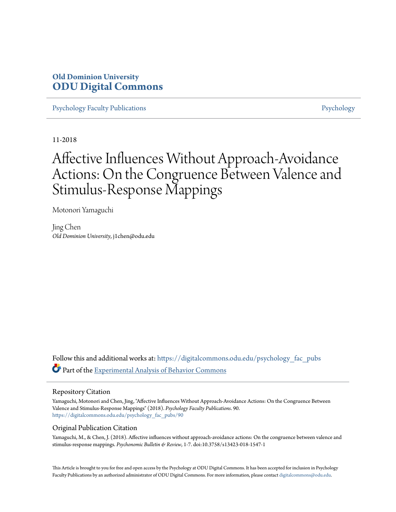# **Old Dominion University [ODU Digital Commons](https://digitalcommons.odu.edu?utm_source=digitalcommons.odu.edu%2Fpsychology_fac_pubs%2F90&utm_medium=PDF&utm_campaign=PDFCoverPages)**

[Psychology Faculty Publications](https://digitalcommons.odu.edu/psychology_fac_pubs?utm_source=digitalcommons.odu.edu%2Fpsychology_fac_pubs%2F90&utm_medium=PDF&utm_campaign=PDFCoverPages) **[Psychology](https://digitalcommons.odu.edu/psychology?utm_source=digitalcommons.odu.edu%2Fpsychology_fac_pubs%2F90&utm_medium=PDF&utm_campaign=PDFCoverPages)** Psychology

11-2018

# Affective Influences Without Approach-Avoidance Actions: On the Congruence Between Valence and Stimulus-Response Mappings

Motonori Yamaguchi

Jing Chen *Old Dominion University*, j1chen@odu.edu

Follow this and additional works at: [https://digitalcommons.odu.edu/psychology\\_fac\\_pubs](https://digitalcommons.odu.edu/psychology_fac_pubs?utm_source=digitalcommons.odu.edu%2Fpsychology_fac_pubs%2F90&utm_medium=PDF&utm_campaign=PDFCoverPages) Part of the [Experimental Analysis of Behavior Commons](http://network.bepress.com/hgg/discipline/1236?utm_source=digitalcommons.odu.edu%2Fpsychology_fac_pubs%2F90&utm_medium=PDF&utm_campaign=PDFCoverPages)

#### Repository Citation

Yamaguchi, Motonori and Chen, Jing, "Affective Influences Without Approach-Avoidance Actions: On the Congruence Between Valence and Stimulus-Response Mappings" (2018). *Psychology Faculty Publications*. 90. [https://digitalcommons.odu.edu/psychology\\_fac\\_pubs/90](https://digitalcommons.odu.edu/psychology_fac_pubs/90?utm_source=digitalcommons.odu.edu%2Fpsychology_fac_pubs%2F90&utm_medium=PDF&utm_campaign=PDFCoverPages)

## Original Publication Citation

Yamaguchi, M., & Chen, J. (2018). Affective influences without approach-avoidance actions: On the congruence between valence and stimulus-response mappings. *Psychonomic Bulletin & Review*, 1-7. doi:10.3758/s13423-018-1547-1

This Article is brought to you for free and open access by the Psychology at ODU Digital Commons. It has been accepted for inclusion in Psychology Faculty Publications by an authorized administrator of ODU Digital Commons. For more information, please contact [digitalcommons@odu.edu.](mailto:digitalcommons@odu.edu)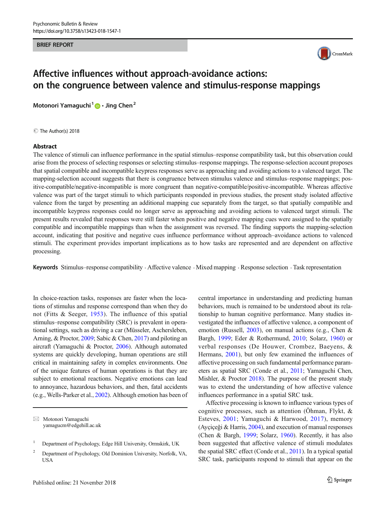#### **BRIEF REPORT** BRIEF REPORT



# Affective influences without approach-avoidance actions: on the congruence between valence and stimulus-response mappings

Motonori Yamaguchi<sup>1</sup>  $\bullet$  Jing Chen<sup>2</sup>

 $\circledcirc$  The Author(s) 2018

#### Abstract

The valence of stimuli can influence performance in the spatial stimulus–response compatibility task, but this observation could arise from the process of selecting responses or selecting stimulus–response mappings. The response-selection account proposes that spatial compatible and incompatible keypress responses serve as approaching and avoiding actions to a valenced target. The mapping-selection account suggests that there is congruence between stimulus valence and stimulus–response mappings; positive-compatible/negative-incompatible is more congruent than negative-compatible/positive-incompatible. Whereas affective valence was part of the target stimuli to which participants responded in previous studies, the present study isolated affective valence from the target by presenting an additional mapping cue separately from the target, so that spatially compatible and incompatible keypress responses could no longer serve as approaching and avoiding actions to valenced target stimuli. The present results revealed that responses were still faster when positive and negative mapping cues were assigned to the spatially compatible and incompatible mappings than when the assignment was reversed. The finding supports the mapping-selection account, indicating that positive and negative cues influence performance without approach–avoidance actions to valenced stimuli. The experiment provides important implications as to how tasks are represented and are dependent on affective processing.

Keywords Stimulus–response compatibility . Affective valence . Mixed mapping . Response selection . Task representation

In choice-reaction tasks, responses are faster when the locations of stimulus and response correspond than when they do not (Fitts & Seeger, [1953\)](#page-6-0). The influence of this spatial stimulus–response compatibility (SRC) is prevalent in operational settings, such as driving a car (Müsseler, Aschersleben, Arning, & Proctor, [2009](#page-6-0); Sabic & Chen, [2017\)](#page-7-0) and piloting an aircraft (Yamaguchi & Proctor, [2006\)](#page-7-0). Although automated systems are quickly developing, human operations are still critical in maintaining safety in complex environments. One of the unique features of human operations is that they are subject to emotional reactions. Negative emotions can lead to annoyance, hazardous behaviors, and then, fatal accidents (e.g., Wells-Parker et al., [2002](#page-7-0)). Although emotion has been of central importance in understanding and predicting human behaviors, much is remained to be understood about its relationship to human cognitive performance. Many studies investigated the influences of affective valence, a component of emotion (Russell, [2003\)](#page-7-0), on manual actions (e.g., Chen & Bargh, [1999](#page-6-0); Eder & Rothermund, [2010;](#page-6-0) Solarz, [1960](#page-7-0)) or verbal responses (De Houwer, Crombez, Baeyens, & Hermans, [2001\)](#page-6-0), but only few examined the influences of affective processing on such fundamental performance parameters as spatial SRC (Conde et al., [2011](#page-6-0); Yamaguchi Chen, Mishler, & Proctor [2018\)](#page-7-0). The purpose of the present study was to extend the understanding of how affective valence influences performance in a spatial SRC task.

Affective processing is known to influence various types of cognitive processes, such as attention (Öhman, Flykt, & Esteves, [2001](#page-6-0); Yamaguchi & Harwood, [2017](#page-7-0)), memory (Ayçiçeği & Harris, [2004\)](#page-6-0), and execution of manual responses (Chen & Bargh, [1999](#page-6-0); Solarz, [1960\)](#page-7-0). Recently, it has also been suggested that affective valence of stimuli modulates the spatial SRC effect (Conde et al., [2011\)](#page-6-0). In a typical spatial SRC task, participants respond to stimuli that appear on the

 $\boxtimes$  Motonori Yamaguchi [yamagucm@edgehill.ac.uk](mailto:yamagucm@edgehill.ac.uk)

<sup>&</sup>lt;sup>1</sup> Department of Psychology, Edge Hill University, Ormskirk, UK

<sup>&</sup>lt;sup>2</sup> Department of Psychology, Old Dominion University, Norfolk, VA, USA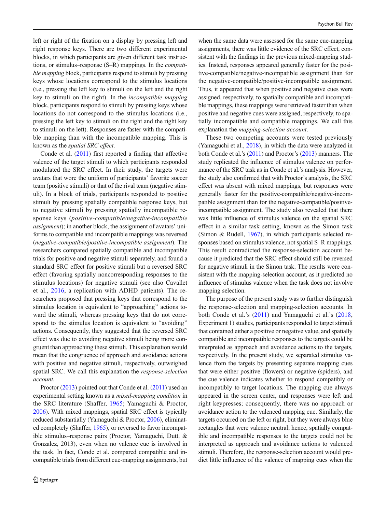left or right of the fixation on a display by pressing left and right response keys. There are two different experimental blocks, in which participants are given different task instructions, or stimulus–response (S–R) mappings. In the compatible mapping block, participants respond to stimuli by pressing keys whose locations correspond to the stimulus locations (i.e., pressing the left key to stimuli on the left and the right key to stimuli on the right). In the incompatible mapping block, participants respond to stimuli by pressing keys whose locations do not correspond to the stimulus locations (i.e., pressing the left key to stimuli on the right and the right key to stimuli on the left). Responses are faster with the compatible mapping than with the incompatible mapping. This is known as the spatial SRC effect.

Conde et al. ([2011](#page-6-0)) first reported a finding that affective valence of the target stimuli to which participants responded modulated the SRC effect. In their study, the targets were avatars that wore the uniform of participants' favorite soccer team (positive stimuli) or that of the rival team (negative stimuli). In a block of trials, participants responded to positive stimuli by pressing spatially compatible response keys, but to negative stimuli by pressing spatially incompatible response keys (positive-compatible/negative-incompatible assignment); in another block, the assignment of avatars' uniforms to compatible and incompatible mappings was reversed (negative-compatible/positive-incompatible assignment). The researchers compared spatially compatible and incompatible trials for positive and negative stimuli separately, and found a standard SRC effect for positive stimuli but a reversed SRC effect (favoring spatially noncorresponding responses to the stimulus locations) for negative stimuli (see also Cavallet et al., [2016](#page-6-0), a replication with ADHD patients). The researchers proposed that pressing keys that correspond to the stimulus location is equivalent to "approaching" actions toward the stimuli, whereas pressing keys that do not correspond to the stimulus location is equivalent to "avoiding" actions. Consequently, they suggested that the reversed SRC effect was due to avoiding negative stimuli being more congruent than approaching these stimuli. This explanation would mean that the congruence of approach and avoidance actions with positive and negative stimuli, respectively, outweighed spatial SRC. We call this explanation the response-selection account.

Proctor [\(2013\)](#page-6-0) pointed out that Conde et al. [\(2011](#page-6-0)) used an experimental setting known as a mixed-mapping condition in the SRC literature (Shaffer, [1965;](#page-7-0) Yamaguchi & Proctor, [2006\)](#page-7-0). With mixed mappings, spatial SRC effect is typically reduced substantially (Yamaguchi & Proctor, [2006\)](#page-7-0), eliminated completely (Shaffer, [1965](#page-7-0)), or reversed to favor incompatible stimulus–response pairs (Proctor, Yamaguchi, Dutt, & Gonzalez, 2013), even when no valence cue is involved in the task. In fact, Conde et al. compared compatible and incompatible trials from different cue-mapping assignments, but

when the same data were assessed for the same cue-mapping assignments, there was little evidence of the SRC effect, consistent with the findings in the previous mixed-mapping studies. Instead, responses appeared generally faster for the positive-compatible/negative-incompatible assignment than for the negative-compatible/positive-incompatible assignment. Thus, it appeared that when positive and negative cues were assigned, respectively, to spatially compatible and incompatible mappings, these mappings were retrieved faster than when positive and negative cues were assigned, respectively, to spatially incompatible and compatible mappings. We call this explanation the mapping-selection account.

These two competing accounts were tested previously (Yamaguchi et al., [2018\)](#page-7-0), in which the data were analyzed in both Conde et al.'s [\(2011\)](#page-6-0) and Proctor's [\(2013\)](#page-6-0) manners. The study replicated the influence of stimulus valence on performance of the SRC task as in Conde et al.'s analysis. However, the study also confirmed that with Proctor's analysis, the SRC effect was absent with mixed mappings, but responses were generally faster for the positive-compatible/negative-incompatible assignment than for the negative-compatible/positiveincompatible assignment. The study also revealed that there was little influence of stimulus valence on the spatial SRC effect in a similar task setting, known as the Simon task (Simon & Rudell, [1967\)](#page-7-0), in which participants selected responses based on stimulus valence, not spatial S–R mappings. This result contradicted the response-selection account because it predicted that the SRC effect should still be reversed for negative stimuli in the Simon task. The results were consistent with the mapping-selection account, as it predicted no influence of stimulus valence when the task does not involve mapping selection.

The purpose of the present study was to further distinguish the response-selection and mapping-selection accounts. In both Conde et al.'s ([2011](#page-6-0)) and Yamaguchi et al.'s ([2018,](#page-7-0) Experiment 1) studies, participants responded to target stimuli that contained either a positive or negative value, and spatially compatible and incompatible responses to the targets could be interpreted as approach and avoidance actions to the targets, respectively. In the present study, we separated stimulus valence from the targets by presenting separate mapping cues that were either positive (flowers) or negative (spiders), and the cue valence indicates whether to respond compatibly or incompatibly to target locations. The mapping cue always appeared in the screen center, and responses were left and right keypresses; consequently, there was no approach or avoidance action to the valenced mapping cue. Similarly, the targets occurred on the left or right, but they were always blue rectangles that were valence neutral; hence, spatially compatible and incompatible responses to the targets could not be interpreted as approach and avoidance actions to valenced stimuli. Therefore, the response-selection account would predict little influence of the valence of mapping cues when the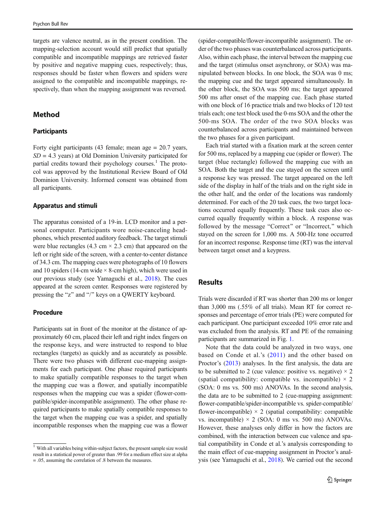targets are valence neutral, as in the present condition. The mapping-selection account would still predict that spatially compatible and incompatible mappings are retrieved faster by positive and negative mapping cues, respectively; thus, responses should be faster when flowers and spiders were assigned to the compatible and incompatible mappings, respectively, than when the mapping assignment was reversed.

## Method

#### **Participants**

Forty eight participants (43 female; mean age = 20.7 years,  $SD = 4.3$  years) at Old Dominion University participated for partial credits toward their psychology courses.<sup>1</sup> The protocol was approved by the Institutional Review Board of Old Dominion University. Informed consent was obtained from all participants.

#### Apparatus and stimuli

The apparatus consisted of a 19-in. LCD monitor and a personal computer. Participants wore noise-canceling headphones, which presented auditory feedback. The target stimuli were blue rectangles (4.3 cm  $\times$  2.3 cm) that appeared on the left or right side of the screen, with a center-to-center distance of 34.3 cm. The mapping cues were photographs of 10 flowers and 10 spiders (14-cm wide  $\times$  8-cm high), which were used in our previous study (see Yamaguchi et al., [2018](#page-7-0)). The cues appeared at the screen center. Responses were registered by pressing the "z" and "/" keys on a QWERTY keyboard.

#### Procedure

Participants sat in front of the monitor at the distance of approximately 60 cm, placed their left and right index fingers on the response keys, and were instructed to respond to blue rectangles (targets) as quickly and as accurately as possible. There were two phases with different cue-mapping assignments for each participant. One phase required participants to make spatially compatible responses to the target when the mapping cue was a flower, and spatially incompatible responses when the mapping cue was a spider (flower-compatible/spider-incompatible assignment). The other phase required participants to make spatially compatible responses to the target when the mapping cue was a spider, and spatially incompatible responses when the mapping cue was a flower

<sup>1</sup> With all variables being within-subject factors, the present sample size would result in a statistical power of greater than .99 for a medium effect size at alpha = .05, assuming the correlation of .8 between the measures.

(spider-compatible/flower-incompatible assignment). The order of the two phases was counterbalanced across participants. Also, within each phase, the interval between the mapping cue and the target (stimulus onset asynchrony, or SOA) was manipulated between blocks. In one block, the SOA was 0 ms; the mapping cue and the target appeared simultaneously. In the other block, the SOA was 500 ms; the target appeared 500 ms after onset of the mapping cue. Each phase started with one block of 16 practice trials and two blocks of 120 test trials each; one test block used the 0-ms SOA and the other the 500-ms SOA. The order of the two SOA blocks was counterbalanced across participants and maintained between the two phases for a given participant.

Each trial started with a fixation mark at the screen center for 500 ms, replaced by a mapping cue (spider or flower). The target (blue rectangle) followed the mapping cue with an SOA. Both the target and the cue stayed on the screen until a response key was pressed. The target appeared on the left side of the display in half of the trials and on the right side in the other half, and the order of the locations was randomly determined. For each of the 20 task cues, the two target locations occurred equally frequently. These task cues also occurred equally frequently within a block. A response was followed by the message "Correct" or "Incorrect," which stayed on the screen for 1,000 ms. A 500-Hz tone occurred for an incorrect response. Response time (RT) was the interval between target onset and a keypress.

### Results

Trials were discarded if RT was shorter than 200 ms or longer than 3,000 ms (.55% of all trials). Mean RT for correct responses and percentage of error trials (PE) were computed for each participant. One participant exceeded 10% error rate and was excluded from the analysis. RT and PE of the remaining participants are summarized in Fig. [1.](#page-4-0)

Note that the data could be analyzed in two ways, one based on Conde et al.'s [\(2011](#page-6-0)) and the other based on Proctor's [\(2013\)](#page-6-0) analyses. In the first analysis, the data are to be submitted to 2 (cue valence: positive vs. negative)  $\times$  2 (spatial compatibility: compatible vs. incompatible)  $\times$  2 (SOA: 0 ms vs. 500 ms) ANOVAs. In the second analysis, the data are to be submitted to 2 (cue-mapping assignment: flower-compatible/spider-incompatible vs. spider-compatible/ flower-incompatible)  $\times$  2 (spatial compatibility: compatible vs. incompatible)  $\times$  2 (SOA: 0 ms vs. 500 ms) ANOVAs. However, these analyses only differ in how the factors are combined, with the interaction between cue valence and spatial compatibility in Conde et al.'s analysis corresponding to the main effect of cue-mapping assignment in Proctor's analysis (see Yamaguchi et al., [2018](#page-7-0)). We carried out the second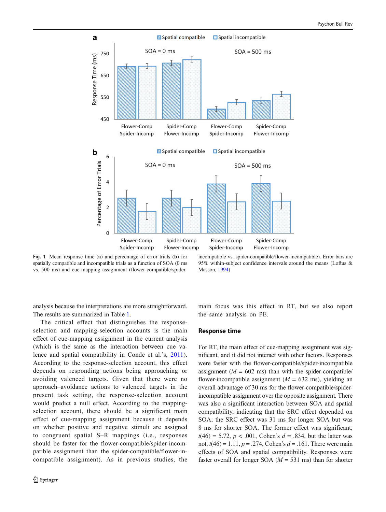<span id="page-4-0"></span>

Fig. 1 Mean response time (a) and percentage of error trials (b) for spatially compatible and incompatible trials as a function of SOA (0 ms vs. 500 ms) and cue-mapping assignment (flower-compatible/spider-

incompatible vs. spider-compatible/flower-incompatible). Error bars are 95% within-subject confidence intervals around the means (Loftus & Masson, [1994\)](#page-6-0)

analysis because the interpretations are more straightforward. The results are summarized in Table [1.](#page-5-0)

The critical effect that distinguishes the responseselection and mapping-selection accounts is the main effect of cue-mapping assignment in the current analysis (which is the same as the interaction between cue valence and spatial compatibility in Conde et al.'s, [2011](#page-6-0)). According to the response-selection account, this effect depends on responding actions being approaching or avoiding valenced targets. Given that there were no approach–avoidance actions to valenced targets in the present task setting, the response-selection account would predict a null effect. According to the mappingselection account, there should be a significant main effect of cue-mapping assignment because it depends on whether positive and negative stimuli are assigned to congruent spatial S–R mappings (i.e., responses should be faster for the flower-compatible/spider-incompatible assignment than the spider-compatible/flower-incompatible assignment). As in previous studies, the

main focus was this effect in RT, but we also report the same analysis on PE.

#### Response time

For RT, the main effect of cue-mapping assignment was significant, and it did not interact with other factors. Responses were faster with the flower-compatible/spider-incompatible assignment ( $M = 602$  ms) than with the spider-compatible/ flower-incompatible assignment ( $M = 632$  ms), yielding an overall advantage of 30 ms for the flower-compatible/spiderincompatible assignment over the opposite assignment. There was also a significant interaction between SOA and spatial compatibility, indicating that the SRC effect depended on SOA; the SRC effect was 31 ms for longer SOA but was 8 ms for shorter SOA. The former effect was significant,  $t(46) = 5.72, p < .001$ , Cohen's  $d = .834$ , but the latter was not,  $t(46) = 1.11$ ,  $p = .274$ , Cohen's  $d = .161$ . There were main effects of SOA and spatial compatibility. Responses were faster overall for longer SOA  $(M = 531 \text{ ms})$  than for shorter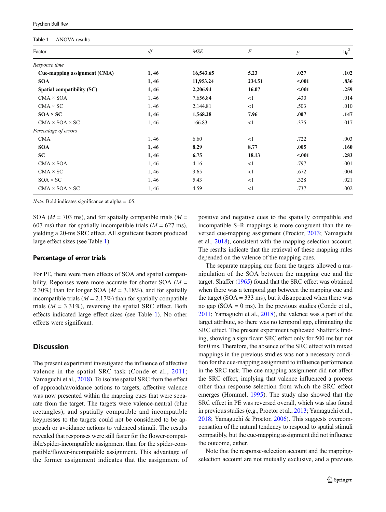#### <span id="page-5-0"></span>Psychon Bull Rev

#### $Table 1 \quad \text{AMOMA result}$

| <b>IQUIC I</b><br>$\Delta$ NV $\Delta$ Results |       |           |          |                  |              |
|------------------------------------------------|-------|-----------|----------|------------------|--------------|
| Factor                                         | df    | MSE       | $\cal F$ | $\boldsymbol{p}$ | ${\eta_p}^2$ |
| Response time                                  |       |           |          |                  |              |
| Cue-mapping assignment (CMA)                   | 1,46  | 16,543.65 | 5.23     | .027             | .102         |
| <b>SOA</b>                                     | 1, 46 | 11,953.24 | 234.51   | < .001           | .836         |
| Spatial compatibility (SC)                     | 1,46  | 2,206.94  | 16.07    | < .001           | .259         |
| $CMA \times SOA$                               | 1,46  | 7,656.84  | <1       | .430             | .014         |
| $CMA \times SC$                                | 1,46  | 2,144.81  | <1       | .503             | .010         |
| $SOA \times SC$                                | 1, 46 | 1,568.28  | 7.96     | .007             | .147         |
| $CMA \times SOA \times SC$                     | 1,46  | 166.83    | <1       | .375             | .017         |
| Percentage of errors                           |       |           |          |                  |              |
| <b>CMA</b>                                     | 1,46  | 6.60      | <1       | .722             | .003         |
| <b>SOA</b>                                     | 1,46  | 8.29      | 8.77     | .005             | .160         |
| <b>SC</b>                                      | 1, 46 | 6.75      | 18.13    | < .001           | .283         |
| $CMA \times SOA$                               | 1,46  | 4.16      | <1       | .797             | .001         |
| $CMA \times SC$                                | 1,46  | 3.65      | <1       | .672             | .004         |
| $SOA \times SC$                                | 1,46  | 5.43      | <1       | .328             | .021         |
| $CMA \times SOA \times SC$                     | 1,46  | 4.59      | <1       | .737             | .002         |

Note. Bold indicates significance at alpha = .05.

SOA ( $M = 703$  ms), and for spatially compatible trials ( $M =$ 607 ms) than for spatially incompatible trials  $(M = 627 \text{ ms})$ , yielding a 20-ms SRC effect. All significant factors produced large effect sizes (see Table 1).

#### Percentage of error trials

For PE, there were main effects of SOA and spatial compatibility. Reponses were more accurate for shorter SOA  $(M =$ 2.30%) than for longer SOA ( $M = 3.18\%$ ), and for spatially incompatible trials  $(M = 2.17\%)$  than for spatially compatible trials ( $M = 3.31\%$ ), reversing the spatial SRC effect. Both effects indicated large effect sizes (see Table 1). No other effects were significant.

# **Discussion**

The present experiment investigated the influence of affective valence in the spatial SRC task (Conde et al., [2011](#page-6-0); Yamaguchi et al., [2018\)](#page-7-0). To isolate spatial SRC from the effect of approach/avoidance actions to targets, affective valence was now presented within the mapping cues that were separate from the target. The targets were valence-neutral (blue rectangles), and spatially compatible and incompatible keypresses to the targets could not be considered to be approach or avoidance actions to valenced stimuli. The results revealed that responses were still faster for the flower-compatible/spider-incompatible assignment than for the spider-compatible/flower-incompatible assignment. This advantage of the former assignment indicates that the assignment of positive and negative cues to the spatially compatible and incompatible S–R mappings is more congruent than the reversed cue-mapping assignment (Proctor, [2013;](#page-6-0) Yamaguchi et al., [2018\)](#page-7-0), consistent with the mapping-selection account. The results indicate that the retrieval of these mapping rules depended on the valence of the mapping cues.

The separate mapping cue from the targets allowed a manipulation of the SOA between the mapping cue and the target. Shaffer [\(1965](#page-7-0)) found that the SRC effect was obtained when there was a temporal gap between the mapping cue and the target  $(SOA = 333 \text{ ms})$ , but it disappeared when there was no gap ( $SOA = 0$  ms). In the previous studies (Conde et al., [2011](#page-6-0); Yamaguchi et al., [2018](#page-7-0)), the valence was a part of the target attribute, so there was no temporal gap, eliminating the SRC effect. The present experiment replicated Shaffer's finding, showing a significant SRC effect only for 500 ms but not for 0 ms. Therefore, the absence of the SRC effect with mixed mappings in the previous studies was not a necessary condition for the cue-mapping assignment to influence performance in the SRC task. The cue-mapping assignment did not affect the SRC effect, implying that valence influenced a process other than response selection from which the SRC effect emerges (Hommel, [1995](#page-6-0)). The study also showed that the SRC effect in PE was reversed overall, which was also found in previous studies (e.g., Proctor et al., [2013](#page-7-0); Yamaguchi et al., [2018;](#page-7-0) Yamaguchi & Proctor, [2006](#page-7-0)). This suggests overcompensation of the natural tendency to respond to spatial stimuli compatibly, but the cue-mapping assignment did not influence the outcome, either.

Note that the response-selection account and the mappingselection account are not mutually exclusive, and a previous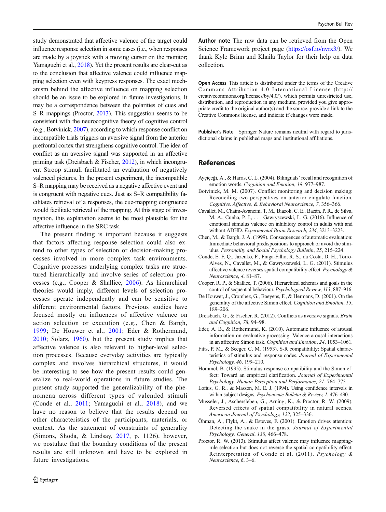<span id="page-6-0"></span>study demonstrated that affective valence of the target could influence response selection in some cases (i.e., when responses are made by a joystick with a moving cursor on the monitor; Yamaguchi et al., [2018\)](#page-7-0). Yet the present results are clear-cut as to the conclusion that affective valence could influence mapping selection even with keypress responses. The exact mechanism behind the affective influence on mapping selection should be an issue to be explored in future investigations. It may be a correspondence between the polarities of cues and S–R mappings (Proctor, 2013). This suggestion seems to be consistent with the neurocognitive theory of cognitive control (e.g., Botvinick, 2007), according to which response conflict on incompatible trials triggers an aversive signal from the anterior prefrontal cortex that strengthens cognitive control. The idea of conflict as an aversive signal was supported in an affective priming task (Dreisbach & Fischer, 2012), in which incongruent Stroop stimuli facilitated an evaluation of negatively valenced pictures. In the present experiment, the incompatible S–R mapping may be received as a negative affective event and is congruent with negative cues. Just as S–R compatibility facilitates retrieval of a responses, the cue-mapping congruence would facilitate retrieval of the mapping. At this stage of investigation, this explanation seems to be most plausible for the affective influence in the SRC task.

The present finding is important because it suggests that factors affecting response selection could also extend to other types of selection or decision-making processes involved in more complex task environments. Cognitive processes underlying complex tasks are structured hierarchically and involve series of selection processes (e.g., Cooper & Shallice, 2006). As hierarchical theories would imply, different levels of selection processes operate independently and can be sensitive to different environmental factors. Previous studies have focused mostly on influences of affective valence on action selection or execution (e.g., Chen & Bargh, 1999; De Houwer et al., 2001; Eder & Rothermund, 2010; Solarz, [1960\)](#page-7-0), but the present study implies that affective valence is also relevant to higher-level selection processes. Because everyday activities are typically complex and involves hierarchical structures, it would be interesting to see how the present results could generalize to real-world operations in future studies. The present study supported the generalizability of the phenomena across different types of valended stimuli (Conde et al., 2011; Yamaguchi et al., [2018](#page-7-0)), and we have no reason to believe that the results depend on other characteristics of the participants, materials, or context. As the statement of constraints of generality (Simons, Shoda, & Lindsay, [2017,](#page-7-0) p. 1126), however, we postulate that the boundary conditions of the present results are still unknown and have to be explored in future investigations.

Author note The raw data can be retrieved from the Open Science Framework project page [\(https://osf.io/nvrx3/\)](https://osf.io/nvrx3/). We thank Kyle Brinn and Khaila Taylor for their help on data collection.

Open Access This article is distributed under the terms of the Creative Commons Attribution 4.0 International License (http:// creativecommons.org/licenses/by/4.0/), which permits unrestricted use, distribution, and reproduction in any medium, provided you give appropriate credit to the original author(s) and the source, provide a link to the Creative Commons license, and indicate if changes were made.

Publisher's Note Springer Nature remains neutral with regard to jurisdictional claims in published maps and institutional affiliations.

#### References

- Ayçiçeǧi, A., & Harris, C. L. (2004). Bilinguals' recall and recognition of emotion words. Cognition and Emotion, 18, 977–987.
- Botvinick, M. M. (2007). Conflict monitoring and decision making: Reconciling two perspectives on anterior cingulate function. Cognitive, Affective, & Behavioral Neuroscience, 7, 356–366.
- Cavallet, M., Chaim-Avancini, T. M., Biazoli, C. E., Bazán, P. R., de Silva, M. A., Cunha, P. J., . . . Gawryszewski, L. G. (2016). Influence of emotional stimulus valence on inhibitory control in adults with and without ADHD. Experimental Brain Research, 234, 3213–3223.
- Chen, M., & Bargh, J. A. (1999). Consequences of automatic evaluation: Immediate behavioral predispositions to approach or avoid the stimulus. Personality and Social Psychology Bulletin, 25, 215–224.
- Conde, E. F. Q., Jazenko, F., Fraga-Filho, R. S., da Costa, D. H., Torro-Alves, N., Cavallet, M., & Gawryszewski, L. G. (2011). Stimulus affective valence reverses spatial compatibility effect. Psychology & Neuroscience, 4, 81–87.
- Cooper, R. P., & Shallice, T. (2006). Hierarchical schemas and goals in the control of sequential behaviour. Psychological Review, 113, 887–916.
- De Houwer, J., Crombez, G., Baeyens, F., & Hermans, D. (2001). On the generality of the affective Simon effect. Cognition and Emotion, 15, 189–206.
- Dreisbach, G., & Fischer, R. (2012). Conflicts as aversive signals. Brain and Cognition, 78, 94–98.
- Eder, A. B., & Rothermund, K. (2010). Automatic influence of arousal information on evaluative processing: Valence-arousal interactions in an affective Simon task. Cognition and Emotion, 24, 1053–1061.
- Fitts, P. M., & Seeger, C. M. (1953). S-R compatibility: Spatial characteristics of stimulus and response codes. Journal of Experimental Psychology, 46, 199–210.
- Hommel, B. (1995). Stimulus-response compatibility and the Simon effect: Toward an empirical clarification. Journal of Experimental Psychology: Human Perception and Performance, 21, 764–775
- Loftus, G. R., & Masson, M. E. J. (1994). Using confidence intervals in within-subject designs. Psychonomic Bulletin & Review, 1, 476–490.
- Müsseler, J., Aschersleben, G., Arning, K., & Proctor, R. W. (2009). Reversed effects of spatial compatibility in natural scenes. American Journal of Psychology, 122, 325–336.
- Öhman, A., Flykt, A., & Esteves, F. (2001). Emotion drives attention: Detecting the snake in the grass. Journal of Experimental Psychology: General, 130, 466–478.
- Proctor, R. W. (2013). Stimulus affect valence may influence mappingrule selection but does not reverse the spatial compatibility effect: Reinterpretation of Conde et al. (2011). Psychology & Neuroscience, 6, 3–6.